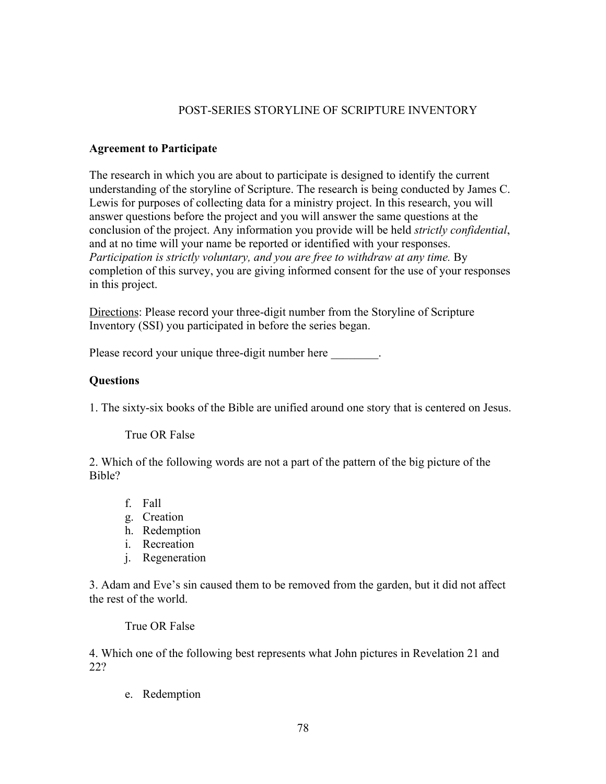## POST-SERIES STORYLINE OF SCRIPTURE INVENTORY

## **Agreement to Participate**

The research in which you are about to participate is designed to identify the current understanding of the storyline of Scripture. The research is being conducted by James C. Lewis for purposes of collecting data for a ministry project. In this research, you will answer questions before the project and you will answer the same questions at the conclusion of the project. Any information you provide will be held *strictly confidential*, and at no time will your name be reported or identified with your responses. *Participation is strictly voluntary, and you are free to withdraw at any time.* By completion of this survey, you are giving informed consent for the use of your responses in this project.

Directions: Please record your three-digit number from the Storyline of Scripture Inventory (SSI) you participated in before the series began.

Please record your unique three-digit number here  $\qquad \qquad$ .

## **Questions**

1. The sixty-six books of the Bible are unified around one story that is centered on Jesus.

True OR False

2. Which of the following words are not a part of the pattern of the big picture of the Bible?

- f. Fall
- g. Creation
- h. Redemption
- i. Recreation
- j. Regeneration

3. Adam and Eve's sin caused them to be removed from the garden, but it did not affect the rest of the world.

True OR False

4. Which one of the following best represents what John pictures in Revelation 21 and 22?

e. Redemption